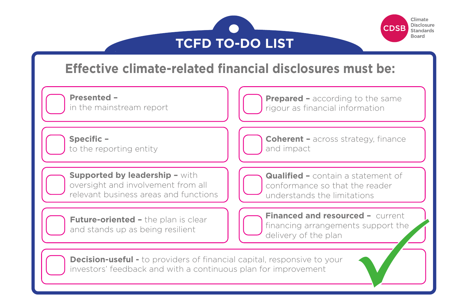



## **Effective climate-related financial disclosures must be:**